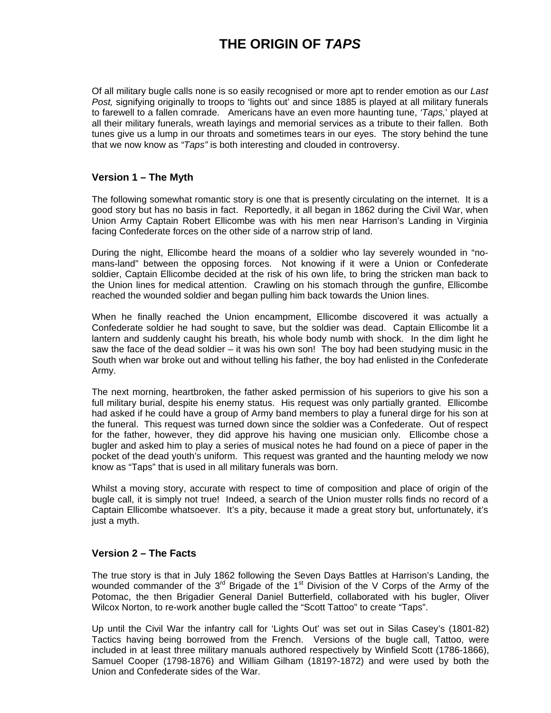## **THE ORIGIN OF** *TAPS*

Of all military bugle calls none is so easily recognised or more apt to render emotion as our *Last Post,* signifying originally to troops to 'lights out' and since 1885 is played at all military funerals to farewell to a fallen comrade. Americans have an even more haunting tune, *'Taps,*' played at all their military funerals, wreath layings and memorial services as a tribute to their fallen. Both tunes give us a lump in our throats and sometimes tears in our eyes. The story behind the tune that we now know as *"Taps"* is both interesting and clouded in controversy.

## **Version 1 – The Myth**

The following somewhat romantic story is one that is presently circulating on the internet. It is a good story but has no basis in fact. Reportedly, it all began in 1862 during the Civil War, when Union Army Captain Robert Ellicombe was with his men near Harrison's Landing in Virginia facing Confederate forces on the other side of a narrow strip of land.

During the night, Ellicombe heard the moans of a soldier who lay severely wounded in "nomans-land" between the opposing forces. Not knowing if it were a Union or Confederate soldier, Captain Ellicombe decided at the risk of his own life, to bring the stricken man back to the Union lines for medical attention. Crawling on his stomach through the gunfire, Ellicombe reached the wounded soldier and began pulling him back towards the Union lines.

When he finally reached the Union encampment, Ellicombe discovered it was actually a Confederate soldier he had sought to save, but the soldier was dead. Captain Ellicombe lit a lantern and suddenly caught his breath, his whole body numb with shock. In the dim light he saw the face of the dead soldier – it was his own son! The boy had been studying music in the South when war broke out and without telling his father, the boy had enlisted in the Confederate Army.

The next morning, heartbroken, the father asked permission of his superiors to give his son a full military burial, despite his enemy status. His request was only partially granted. Ellicombe had asked if he could have a group of Army band members to play a funeral dirge for his son at the funeral. This request was turned down since the soldier was a Confederate. Out of respect for the father, however, they did approve his having one musician only. Ellicombe chose a bugler and asked him to play a series of musical notes he had found on a piece of paper in the pocket of the dead youth's uniform. This request was granted and the haunting melody we now know as "Taps" that is used in all military funerals was born.

Whilst a moving story, accurate with respect to time of composition and place of origin of the bugle call, it is simply not true! Indeed, a search of the Union muster rolls finds no record of a Captain Ellicombe whatsoever. It's a pity, because it made a great story but, unfortunately, it's just a myth.

## **Version 2 – The Facts**

The true story is that in July 1862 following the Seven Days Battles at Harrison's Landing, the wounded commander of the  $3<sup>rd</sup>$  Brigade of the 1<sup>st</sup> Division of the V Corps of the Army of the Potomac, the then Brigadier General Daniel Butterfield, collaborated with his bugler, Oliver Wilcox Norton, to re-work another bugle called the "Scott Tattoo" to create "Taps".

Up until the Civil War the infantry call for 'Lights Out' was set out in Silas Casey's (1801-82) Tactics having being borrowed from the French. Versions of the bugle call, Tattoo, were included in at least three military manuals authored respectively by Winfield Scott (1786-1866), Samuel Cooper (1798-1876) and William Gilham (1819?-1872) and were used by both the Union and Confederate sides of the War.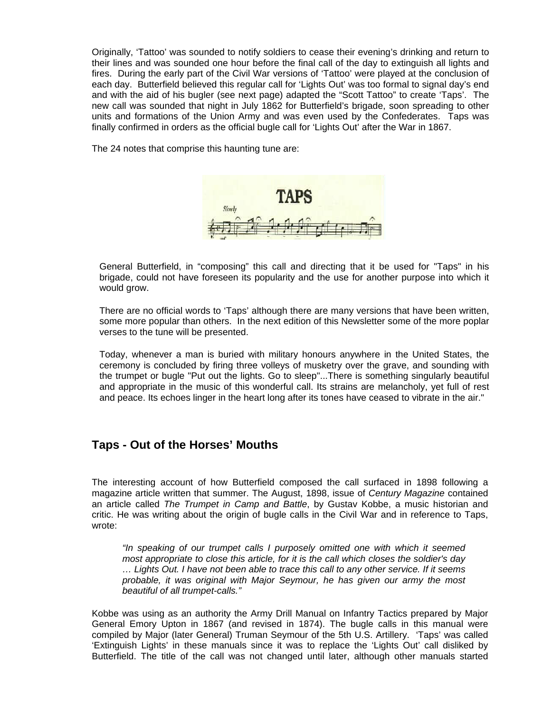Originally, 'Tattoo' was sounded to notify soldiers to cease their evening's drinking and return to their lines and was sounded one hour before the final call of the day to extinguish all lights and fires. During the early part of the Civil War versions of 'Tattoo' were played at the conclusion of each day. Butterfield believed this regular call for 'Lights Out' was too formal to signal day's end and with the aid of his bugler (see next page) adapted the "Scott Tattoo" to create 'Taps'. The new call was sounded that night in July 1862 for Butterfield's brigade, soon spreading to other units and formations of the Union Army and was even used by the Confederates. Taps was finally confirmed in orders as the official bugle call for 'Lights Out' after the War in 1867.

The 24 notes that comprise this haunting tune are:



General Butterfield, in "composing" this call and directing that it be used for "Taps" in his brigade, could not have foreseen its popularity and the use for another purpose into which it would grow.

There are no official words to 'Taps' although there are many versions that have been written, some more popular than others. In the next edition of this Newsletter some of the more poplar verses to the tune will be presented.

Today, whenever a man is buried with military honours anywhere in the United States, the ceremony is concluded by firing three volleys of musketry over the grave, and sounding with the trumpet or bugle "Put out the lights. Go to sleep"...There is something singularly beautiful and appropriate in the music of this wonderful call. Its strains are melancholy, yet full of rest and peace. Its echoes linger in the heart long after its tones have ceased to vibrate in the air."

## **Taps - Out of the Horses' Mouths**

The interesting account of how Butterfield composed the call surfaced in 1898 following a magazine article written that summer. The August, 1898, issue of *Century Magazine* contained an article called *The Trumpet in Camp and Battle*, by Gustav Kobbe, a music historian and critic. He was writing about the origin of bugle calls in the Civil War and in reference to Taps, wrote:

*"In speaking of our trumpet calls I purposely omitted one with which it seemed most appropriate to close this article, for it is the call which closes the soldier's day … Lights Out. I have not been able to trace this call to any other service. If it seems probable, it was original with Major Seymour, he has given our army the most beautiful of all trumpet-calls."* 

Kobbe was using as an authority the Army Drill Manual on Infantry Tactics prepared by Major General Emory Upton in 1867 (and revised in 1874). The bugle calls in this manual were compiled by Major (later General) Truman Seymour of the 5th U.S. Artillery. 'Taps' was called 'Extinguish Lights' in these manuals since it was to replace the 'Lights Out' call disliked by Butterfield. The title of the call was not changed until later, although other manuals started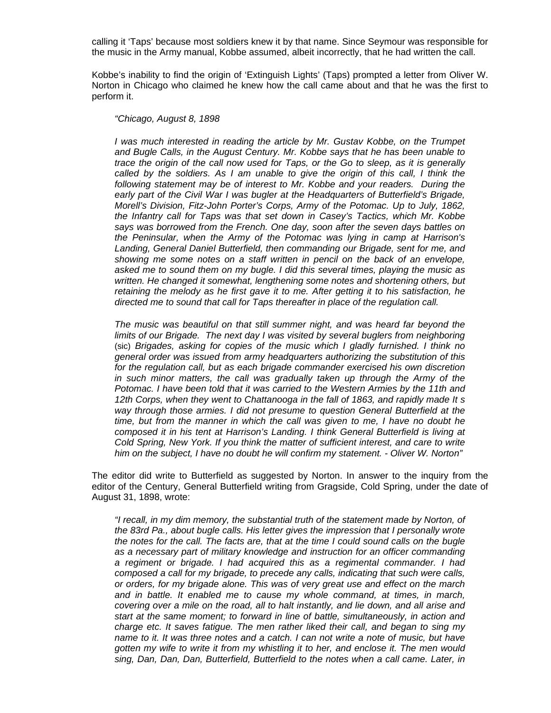calling it 'Taps' because most soldiers knew it by that name. Since Seymour was responsible for the music in the Army manual, Kobbe assumed, albeit incorrectly, that he had written the call.

Kobbe's inability to find the origin of 'Extinguish Lights' (Taps) prompted a letter from Oliver W. Norton in Chicago who claimed he knew how the call came about and that he was the first to perform it.

*"Chicago, August 8, 1898* 

*I* was much interested in reading the article by Mr. Gustav Kobbe, on the Trumpet *and Bugle Calls, in the August Century. Mr. Kobbe says that he has been unable to trace the origin of the call now used for Taps, or the Go to sleep, as it is generally called by the soldiers. As I am unable to give the origin of this call, I think the* following statement may be of interest to Mr. Kobbe and your readers. During the early part of the Civil War I was bugler at the Headquarters of Butterfield's Brigade, *Morell's Division, Fitz-John Porter's Corps, Army of the Potomac. Up to July, 1862, the Infantry call for Taps was that set down in Casey's Tactics, which Mr. Kobbe says was borrowed from the French. One day, soon after the seven days battles on the Peninsular, when the Army of the Potomac was lying in camp at Harrison's Landing, General Daniel Butterfield, then commanding our Brigade, sent for me, and showing me some notes on a staff written in pencil on the back of an envelope, asked me to sound them on my bugle. I did this several times, playing the music as written. He changed it somewhat, lengthening some notes and shortening others, but retaining the melody as he first gave it to me. After getting it to his satisfaction, he directed me to sound that call for Taps thereafter in place of the regulation call.* 

*The music was beautiful on that still summer night, and was heard far beyond the limits of our Brigade. The next day I was visited by several buglers from neighboring* (sic) *Brigades, asking for copies of the music which I gladly furnished. I think no general order was issued from army headquarters authorizing the substitution of this*  for the regulation call, but as each brigade commander exercised his own discretion *in such minor matters, the call was gradually taken up through the Army of the Potomac. I have been told that it was carried to the Western Armies by the 11th and 12th Corps, when they went to Chattanooga in the fall of 1863, and rapidly made It s way through those armies. I did not presume to question General Butterfield at the time, but from the manner in which the call was given to me, I have no doubt he composed it in his tent at Harrison's Landing. I think General Butterfield is living at Cold Spring, New York. If you think the matter of sufficient interest, and care to write him on the subject, I have no doubt he will confirm my statement. - Oliver W. Norton"* 

The editor did write to Butterfield as suggested by Norton. In answer to the inquiry from the editor of the Century, General Butterfield writing from Gragside, Cold Spring, under the date of August 31, 1898, wrote:

*"I recall, in my dim memory, the substantial truth of the statement made by Norton, of the 83rd Pa., about bugle calls. His letter gives the impression that I personally wrote the notes for the call. The facts are, that at the time I could sound calls on the bugle as a necessary part of military knowledge and instruction for an officer commanding a regiment or brigade. I had acquired this as a regimental commander. I had composed a call for my brigade, to precede any calls, indicating that such were calls, or orders, for my brigade alone. This was of very great use and effect on the march and in battle. It enabled me to cause my whole command, at times, in march, covering over a mile on the road, all to halt instantly, and lie down, and all arise and start at the same moment; to forward in line of battle, simultaneously, in action and charge etc. It saves fatigue. The men rather liked their call, and began to sing my name to it. It was three notes and a catch. I can not write a note of music, but have gotten my wife to write it from my whistling it to her, and enclose it. The men would sing, Dan, Dan, Dan, Butterfield, Butterfield to the notes when a call came. Later, in*